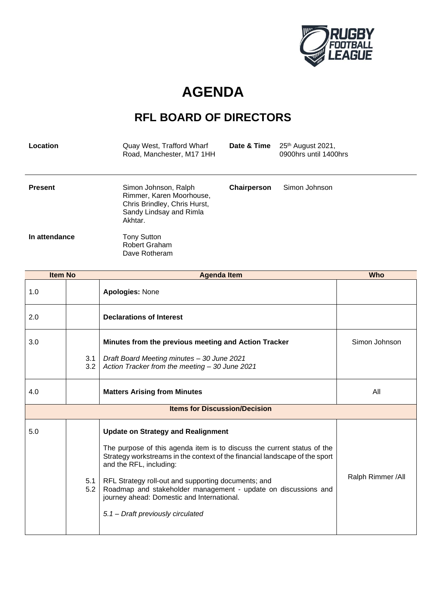

## **AGENDA**

## **RFL BOARD OF DIRECTORS**

| Location       | Quay West, Trafford Wharf<br>Road, Manchester, M17 1HH                                                                 | Date & Time | 25 <sup>th</sup> August 2021,<br>0900hrs until 1400hrs |
|----------------|------------------------------------------------------------------------------------------------------------------------|-------------|--------------------------------------------------------|
| <b>Present</b> | Simon Johnson, Ralph<br>Rimmer, Karen Moorhouse,<br>Chris Brindley, Chris Hurst,<br>Sandy Lindsay and Rimla<br>Akhtar. | Chairperson | Simon Johnson                                          |
| In attendance  | Tony Sutton<br>Robert Graham<br>Dave Rotheram                                                                          |             |                                                        |

| <b>Item No</b> |                                      | <b>Agenda Item</b>                                                                                                                                                                                                                                                                                                                                                                                                                         | <b>Who</b>        |  |
|----------------|--------------------------------------|--------------------------------------------------------------------------------------------------------------------------------------------------------------------------------------------------------------------------------------------------------------------------------------------------------------------------------------------------------------------------------------------------------------------------------------------|-------------------|--|
| 1.0            |                                      | <b>Apologies: None</b>                                                                                                                                                                                                                                                                                                                                                                                                                     |                   |  |
| 2.0            |                                      | <b>Declarations of Interest</b>                                                                                                                                                                                                                                                                                                                                                                                                            |                   |  |
| 3.0            |                                      | Minutes from the previous meeting and Action Tracker                                                                                                                                                                                                                                                                                                                                                                                       | Simon Johnson     |  |
|                | 3.1<br>3.2                           | Draft Board Meeting minutes - 30 June 2021<br>Action Tracker from the meeting - 30 June 2021                                                                                                                                                                                                                                                                                                                                               |                   |  |
| 4.0            |                                      | <b>Matters Arising from Minutes</b>                                                                                                                                                                                                                                                                                                                                                                                                        | All               |  |
|                | <b>Items for Discussion/Decision</b> |                                                                                                                                                                                                                                                                                                                                                                                                                                            |                   |  |
| 5.0            | 5.1<br>5.2                           | <b>Update on Strategy and Realignment</b><br>The purpose of this agenda item is to discuss the current status of the<br>Strategy workstreams in the context of the financial landscape of the sport<br>and the RFL, including:<br>RFL Strategy roll-out and supporting documents; and<br>Roadmap and stakeholder management - update on discussions and<br>journey ahead: Domestic and International.<br>5.1 - Draft previously circulated | Ralph Rimmer /All |  |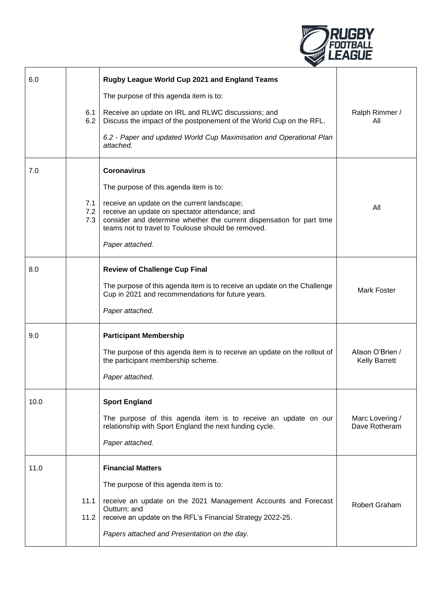

| 6.0  | 6.1<br>6.2        | Rugby League World Cup 2021 and England Teams<br>The purpose of this agenda item is to:<br>Receive an update on IRL and RLWC discussions; and<br>Discuss the impact of the postponement of the World Cup on the RFL.<br>6.2 - Paper and updated World Cup Maximisation and Operational Plan<br>attached.        | Ralph Rimmer /<br>All                    |
|------|-------------------|-----------------------------------------------------------------------------------------------------------------------------------------------------------------------------------------------------------------------------------------------------------------------------------------------------------------|------------------------------------------|
| 7.0  | 7.1<br>7.2<br>7.3 | <b>Coronavirus</b><br>The purpose of this agenda item is to:<br>receive an update on the current landscape;<br>receive an update on spectator attendance; and<br>consider and determine whether the current dispensation for part time<br>teams not to travel to Toulouse should be removed.<br>Paper attached. | All                                      |
| 8.0  |                   | <b>Review of Challenge Cup Final</b><br>The purpose of this agenda item is to receive an update on the Challenge<br>Cup in 2021 and recommendations for future years.<br>Paper attached.                                                                                                                        | <b>Mark Foster</b>                       |
| 9.0  |                   | <b>Participant Membership</b><br>The purpose of this agenda item is to receive an update on the rollout of<br>the participant membership scheme.<br>Paper attached.                                                                                                                                             | Alison O'Brien /<br><b>Kelly Barrett</b> |
| 10.0 |                   | <b>Sport England</b><br>The purpose of this agenda item is to receive an update on our<br>relationship with Sport England the next funding cycle.<br>Paper attached.                                                                                                                                            | Marc Lovering /<br>Dave Rotheram         |
| 11.0 | 11.1<br>11.2      | <b>Financial Matters</b><br>The purpose of this agenda item is to:<br>receive an update on the 2021 Management Accounts and Forecast<br>Outturn; and<br>receive an update on the RFL's Financial Strategy 2022-25.<br>Papers attached and Presentation on the day.                                              | <b>Robert Graham</b>                     |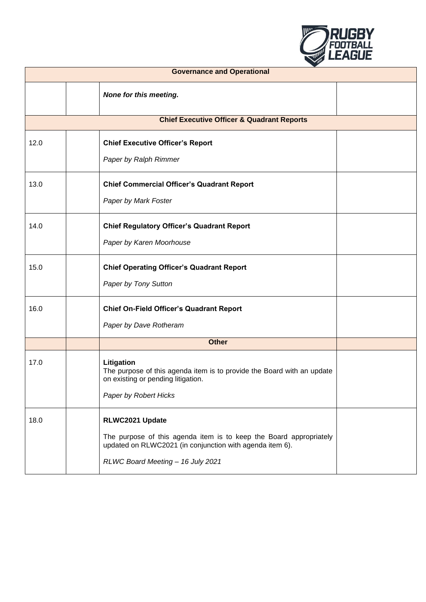

| <b>Governance and Operational</b> |  |                                                                                                                                                                                        |  |
|-----------------------------------|--|----------------------------------------------------------------------------------------------------------------------------------------------------------------------------------------|--|
|                                   |  | None for this meeting.                                                                                                                                                                 |  |
|                                   |  | <b>Chief Executive Officer &amp; Quadrant Reports</b>                                                                                                                                  |  |
| 12.0                              |  | <b>Chief Executive Officer's Report</b><br>Paper by Ralph Rimmer                                                                                                                       |  |
| 13.0                              |  | <b>Chief Commercial Officer's Quadrant Report</b><br>Paper by Mark Foster                                                                                                              |  |
| 14.0                              |  | <b>Chief Regulatory Officer's Quadrant Report</b><br>Paper by Karen Moorhouse                                                                                                          |  |
| 15.0                              |  | <b>Chief Operating Officer's Quadrant Report</b><br>Paper by Tony Sutton                                                                                                               |  |
| 16.0                              |  | <b>Chief On-Field Officer's Quadrant Report</b><br>Paper by Dave Rotheram                                                                                                              |  |
| <b>Other</b>                      |  |                                                                                                                                                                                        |  |
| 17.0                              |  | Litigation<br>The purpose of this agenda item is to provide the Board with an update<br>on existing or pending litigation.<br>Paper by Robert Hicks                                    |  |
| 18.0                              |  | RLWC2021 Update<br>The purpose of this agenda item is to keep the Board appropriately<br>updated on RLWC2021 (in conjunction with agenda item 6).<br>RLWC Board Meeting - 16 July 2021 |  |